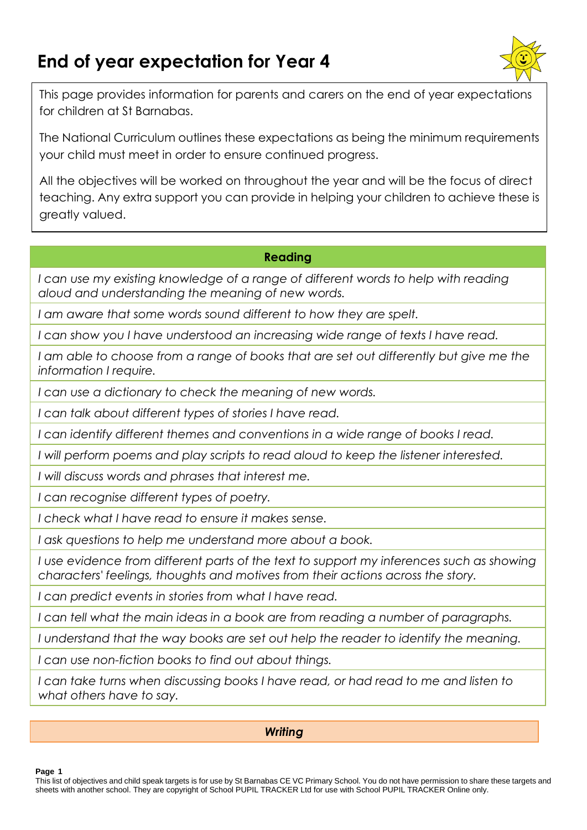# **End of year expectation for Year 4**



This page provides information for parents and carers on the end of year expectations for children at St Barnabas.

The National Curriculum outlines these expectations as being the minimum requirements your child must meet in order to ensure continued progress.

All the objectives will be worked on throughout the year and will be the focus of direct teaching. Any extra support you can provide in helping your children to achieve these is greatly valued.

### **Reading**

*I can use my existing knowledge of a range of different words to help with reading aloud and understanding the meaning of new words.*

*I am aware that some words sound different to how they are spelt.*

*I can show you I have understood an increasing wide range of texts I have read.*

*I am able to choose from a range of books that are set out differently but give me the information I require.*

*I can use a dictionary to check the meaning of new words.*

*I can talk about different types of stories I have read.*

*I can identify different themes and conventions in a wide range of books I read.*

*I will perform poems and play scripts to read aloud to keep the listener interested.*

*I will discuss words and phrases that interest me.*

*I can recognise different types of poetry.*

*I check what I have read to ensure it makes sense.*

*I ask questions to help me understand more about a book.*

*I* use evidence from different parts of the text to support my inferences such as showing *characters' feelings, thoughts and motives from their actions across the story.*

*I can predict events in stories from what I have read.*

*I can tell what the main ideas in a book are from reading a number of paragraphs.*

*I understand that the way books are set out help the reader to identify the meaning.*

*I can use non-fiction books to find out about things.*

*I can take turns when discussing books I have read, or had read to me and listen to what others have to say.*

### *Writing*

### **Page 1**

This list of objectives and child speak targets is for use by St Barnabas CE VC Primary School. You do not have permission to share these targets and sheets with another school. They are copyright of School PUPIL TRACKER Ltd for use with School PUPIL TRACKER Online only.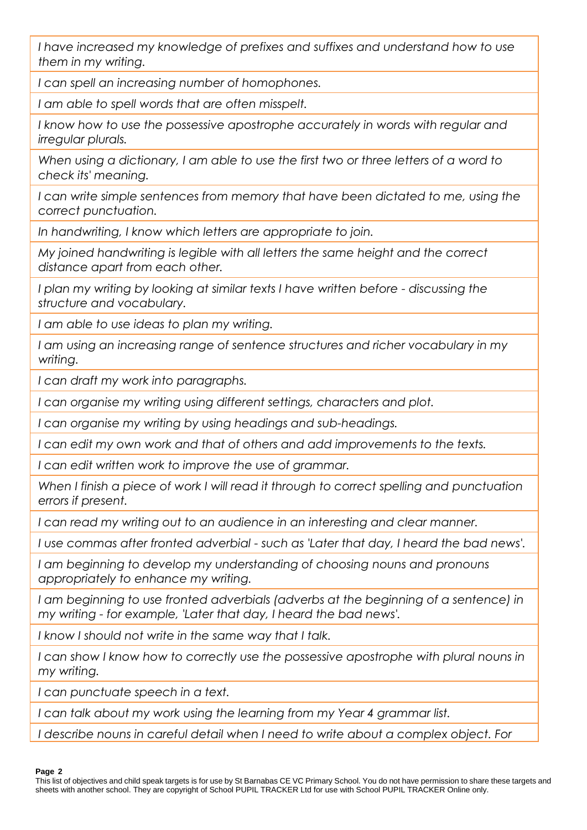*I have increased my knowledge of prefixes and suffixes and understand how to use them in my writing.*

*I can spell an increasing number of homophones.*

*I am able to spell words that are often misspelt.*

*I know how to use the possessive apostrophe accurately in words with regular and irregular plurals.*

*When using a dictionary, I am able to use the first two or three letters of a word to check its' meaning.*

*I can write simple sentences from memory that have been dictated to me, using the correct punctuation.*

*In handwriting, I know which letters are appropriate to join.*

*My joined handwriting is legible with all letters the same height and the correct distance apart from each other.*

*I plan my writing by looking at similar texts I have written before - discussing the structure and vocabulary.*

*I am able to use ideas to plan my writing.*

*I am using an increasing range of sentence structures and richer vocabulary in my writing.*

*I can draft my work into paragraphs.*

*I can organise my writing using different settings, characters and plot.*

*I can organise my writing by using headings and sub-headings.*

*I can edit my own work and that of others and add improvements to the texts.*

*I can edit written work to improve the use of grammar.*

When I finish a piece of work I will read it through to correct spelling and punctuation *errors if present.*

*I can read my writing out to an audience in an interesting and clear manner.*

*I use commas after fronted adverbial - such as 'Later that day, I heard the bad news'.*

*I am beginning to develop my understanding of choosing nouns and pronouns appropriately to enhance my writing.*

I am beginning to use fronted adverbials (adverbs at the beginning of a sentence) in *my writing - for example, 'Later that day, I heard the bad news'.*

*I know I should not write in the same way that I talk.*

*I can show I know how to correctly use the possessive apostrophe with plural nouns in my writing.*

*I can punctuate speech in a text.*

*I can talk about my work using the learning from my Year 4 grammar list.*

*I describe nouns in careful detail when I need to write about a complex object. For* 

#### **Page 2**

This list of objectives and child speak targets is for use by St Barnabas CE VC Primary School. You do not have permission to share these targets and sheets with another school. They are copyright of School PUPIL TRACKER Ltd for use with School PUPIL TRACKER Online only.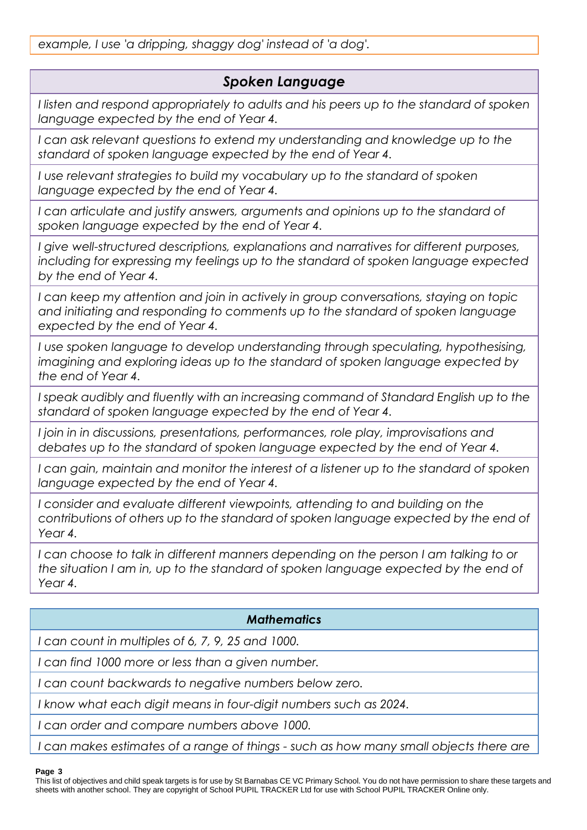# *Spoken Language*

*I listen and respond appropriately to adults and his peers up to the standard of spoken language expected by the end of Year 4.*

*I can ask relevant questions to extend my understanding and knowledge up to the standard of spoken language expected by the end of Year 4.*

*I* use relevant strategies to build my vocabulary up to the standard of spoken *language expected by the end of Year 4.*

I can articulate and justify answers, arguments and opinions up to the standard of *spoken language expected by the end of Year 4.*

*I give well-structured descriptions, explanations and narratives for different purposes, including for expressing my feelings up to the standard of spoken language expected by the end of Year 4.*

*I can keep my attention and join in actively in group conversations, staying on topic and initiating and responding to comments up to the standard of spoken language expected by the end of Year 4.*

*I use spoken language to develop understanding through speculating, hypothesising, imagining and exploring ideas up to the standard of spoken language expected by the end of Year 4.*

*I speak audibly and fluently with an increasing command of Standard English up to the standard of spoken language expected by the end of Year 4.*

*I join in in discussions, presentations, performances, role play, improvisations and debates up to the standard of spoken language expected by the end of Year 4.*

*I can gain, maintain and monitor the interest of a listener up to the standard of spoken language expected by the end of Year 4.*

*I* consider and evaluate different viewpoints, attending to and building on the *contributions of others up to the standard of spoken language expected by the end of Year 4.*

*I* can choose to talk in different manners depending on the person I am talking to or *the situation I am in, up to the standard of spoken language expected by the end of Year 4.*

# *Mathematics*

*I can count in multiples of 6, 7, 9, 25 and 1000.*

*I can find 1000 more or less than a given number.*

*I can count backwards to negative numbers below zero.*

*I know what each digit means in four-digit numbers such as 2024.*

*I can order and compare numbers above 1000.*

*I can makes estimates of a range of things - such as how many small objects there are* 

### **Page 3**

This list of objectives and child speak targets is for use by St Barnabas CE VC Primary School. You do not have permission to share these targets and sheets with another school. They are copyright of School PUPIL TRACKER Ltd for use with School PUPIL TRACKER Online only.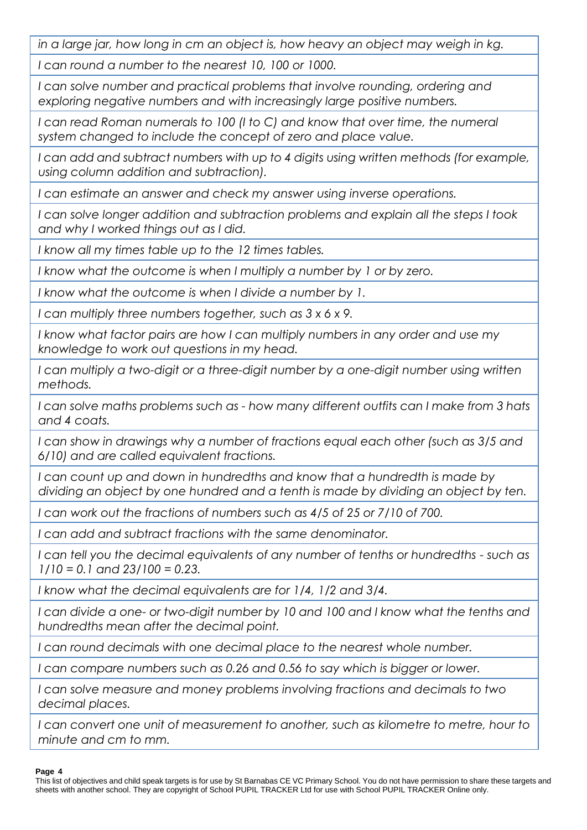*in a large jar, how long in cm an object is, how heavy an object may weigh in kg.*

*I can round a number to the nearest 10, 100 or 1000.*

*I can solve number and practical problems that involve rounding, ordering and exploring negative numbers and with increasingly large positive numbers.*

*I can read Roman numerals to 100 (I to C) and know that over time, the numeral system changed to include the concept of zero and place value.*

*I can add and subtract numbers with up to 4 digits using written methods (for example, using column addition and subtraction).*

*I can estimate an answer and check my answer using inverse operations.*

*I can solve longer addition and subtraction problems and explain all the steps I took and why I worked things out as I did.*

*I know all my times table up to the 12 times tables.*

*I know what the outcome is when I multiply a number by 1 or by zero.*

*I know what the outcome is when I divide a number by 1.*

*I can multiply three numbers together, such as 3 x 6 x 9.*

*I know what factor pairs are how I can multiply numbers in any order and use my knowledge to work out questions in my head.*

*I* can multiply a two-digit or a three-digit number by a one-digit number using written *methods.*

*I can solve maths problems such as - how many different outfits can I make from 3 hats and 4 coats.*

*I can show in drawings why a number of fractions equal each other (such as 3/5 and 6/10) and are called equivalent fractions.*

*I can count up and down in hundredths and know that a hundredth is made by dividing an object by one hundred and a tenth is made by dividing an object by ten.*

*I can work out the fractions of numbers such as 4/5 of 25 or 7/10 of 700.*

*I can add and subtract fractions with the same denominator.*

*I can tell you the decimal equivalents of any number of tenths or hundredths - such as 1/10 = 0.1 and 23/100 = 0.23.*

*I know what the decimal equivalents are for 1/4, 1/2 and 3/4.*

*I can divide a one- or two-digit number by 10 and 100 and I know what the tenths and hundredths mean after the decimal point.*

*I can round decimals with one decimal place to the nearest whole number.*

*I can compare numbers such as 0.26 and 0.56 to say which is bigger or lower.*

*I can solve measure and money problems involving fractions and decimals to two decimal places.*

*I* can convert one unit of measurement to another, such as kilometre to metre, hour to *minute and cm to mm.*

### **Page 4**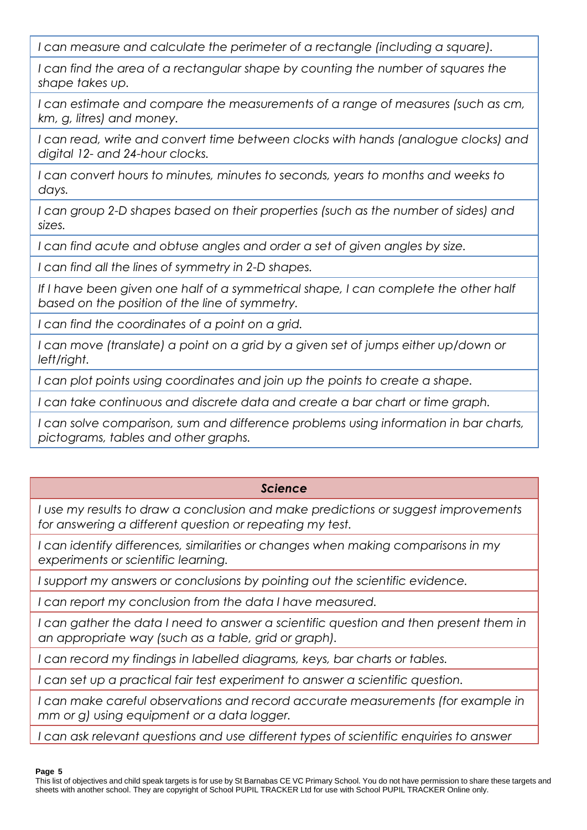*I can measure and calculate the perimeter of a rectangle (including a square).*

*I can find the area of a rectangular shape by counting the number of squares the shape takes up.*

*I can estimate and compare the measurements of a range of measures (such as cm, km, g, litres) and money.*

*I can read, write and convert time between clocks with hands (analogue clocks) and digital 12- and 24-hour clocks.*

*I can convert hours to minutes, minutes to seconds, years to months and weeks to days.*

*I can group 2-D shapes based on their properties (such as the number of sides) and sizes.*

*I can find acute and obtuse angles and order a set of given angles by size.*

*I can find all the lines of symmetry in 2-D shapes.*

If I have been given one half of a symmetrical shape, I can complete the other half *based on the position of the line of symmetry.*

*I can find the coordinates of a point on a grid.*

*I can move (translate) a point on a grid by a given set of jumps either up/down or left/right.*

*I can plot points using coordinates and join up the points to create a shape.*

*I can take continuous and discrete data and create a bar chart or time graph.*

*I can solve comparison, sum and difference problems using information in bar charts, pictograms, tables and other graphs.*

# *Science*

*I use my results to draw a conclusion and make predictions or suggest improvements for answering a different question or repeating my test.*

*I can identify differences, similarities or changes when making comparisons in my experiments or scientific learning.*

*I support my answers or conclusions by pointing out the scientific evidence.*

*I can report my conclusion from the data I have measured.*

*I* can gather the data I need to answer a scientific question and then present them in *an appropriate way (such as a table, grid or graph).*

*I can record my findings in labelled diagrams, keys, bar charts or tables.*

*I can set up a practical fair test experiment to answer a scientific question.*

*I can make careful observations and record accurate measurements (for example in mm or g) using equipment or a data logger.*

*I can ask relevant questions and use different types of scientific enquiries to answer* 

**Page 5**